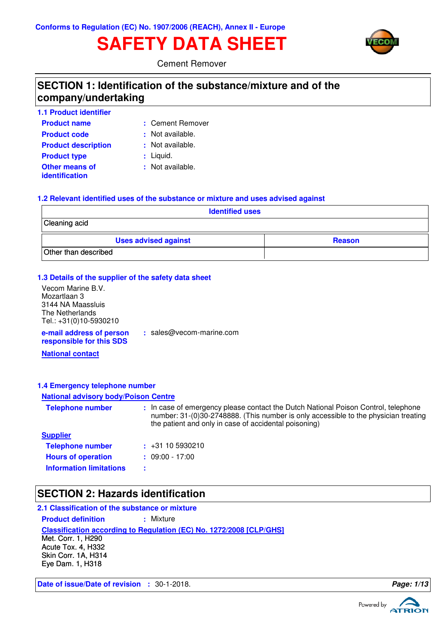# **SAFETY DATA SHEET**



Cement Remover

### **SECTION 1: Identification of the substance/mixture and of the company/undertaking**

| 1.1 Product identifier                  |                  |
|-----------------------------------------|------------------|
| <b>Product name</b>                     | : Cement Remover |
| <b>Product code</b>                     | : Not available. |
| <b>Product description</b>              | : Not available. |
| <b>Product type</b>                     | $:$ Liquid.      |
| <b>Other means of</b><br>identification | : Not available. |

#### **1.2 Relevant identified uses of the substance or mixture and uses advised against**

| <b>Identified uses</b>      |               |  |
|-----------------------------|---------------|--|
| Cleaning acid               |               |  |
| <b>Uses advised against</b> | <b>Reason</b> |  |
| Other than described        |               |  |

#### **1.3 Details of the supplier of the safety data sheet**

| Vecom Marine B.V.                                    |             |
|------------------------------------------------------|-------------|
| Mozartlaan 3                                         |             |
| 3144 NA Maassluis                                    |             |
| The Netherlands                                      |             |
| Tel.: +31(0)10-5930210                               |             |
| e-mail address of person<br>responsible for this SDS | : sales $@$ |

 $\mathfrak{d}$  vecom-marine.com

**National contact**

#### **1.4 Emergency telephone number**

#### **National advisory body/Poison Centre**

| <b>Telephone number</b>        | : In case of emergency please contact the Dutch National Poison Control, telephone<br>number: 31-(0)30-2748888. (This number is only accessible to the physician treating<br>the patient and only in case of accidental poisoning) |
|--------------------------------|------------------------------------------------------------------------------------------------------------------------------------------------------------------------------------------------------------------------------------|
| <b>Supplier</b>                |                                                                                                                                                                                                                                    |
| <b>Telephone number</b>        | $\div$ +31 10 5930210                                                                                                                                                                                                              |
| <b>Hours of operation</b>      | $: 09:00 - 17:00$                                                                                                                                                                                                                  |
| <b>Information limitations</b> |                                                                                                                                                                                                                                    |

### **SECTION 2: Hazards identification**

#### **2.1 Classification of the substance or mixture**

**Product definition : Mixture** 

**Classification according to Regulation (EC) No. 1272/2008 [CLP/GHS]**

Met. Corr. 1, H290 Acute Tox. 4, H332 Skin Corr. 1A, H314 Eye Dam. 1, H318

**Date of issue/Date of revision :** 30-1-2018. **Page: 1/13**

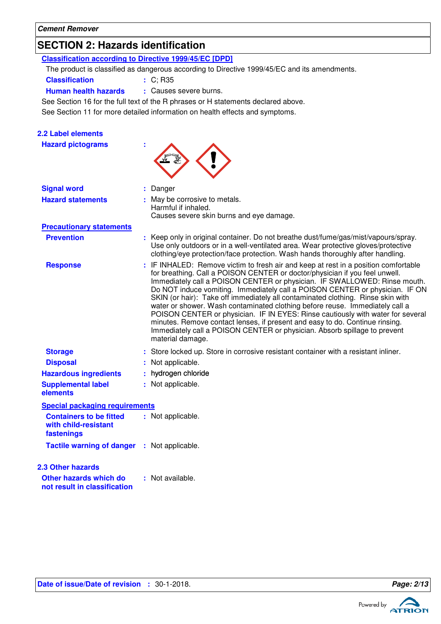# **SECTION 2: Hazards identification**

| <b>Classification according to Directive 1999/45/EC [DPD]</b>        |                                                                                                                                                                                                                                                                                                                                                                                                                                                                                                                                                                                                                                                                                                                                                                      |
|----------------------------------------------------------------------|----------------------------------------------------------------------------------------------------------------------------------------------------------------------------------------------------------------------------------------------------------------------------------------------------------------------------------------------------------------------------------------------------------------------------------------------------------------------------------------------------------------------------------------------------------------------------------------------------------------------------------------------------------------------------------------------------------------------------------------------------------------------|
|                                                                      | The product is classified as dangerous according to Directive 1999/45/EC and its amendments.                                                                                                                                                                                                                                                                                                                                                                                                                                                                                                                                                                                                                                                                         |
| <b>Classification</b>                                                | : C; R35                                                                                                                                                                                                                                                                                                                                                                                                                                                                                                                                                                                                                                                                                                                                                             |
| <b>Human health hazards</b>                                          | : Causes severe burns.                                                                                                                                                                                                                                                                                                                                                                                                                                                                                                                                                                                                                                                                                                                                               |
|                                                                      | See Section 16 for the full text of the R phrases or H statements declared above.                                                                                                                                                                                                                                                                                                                                                                                                                                                                                                                                                                                                                                                                                    |
|                                                                      | See Section 11 for more detailed information on health effects and symptoms.                                                                                                                                                                                                                                                                                                                                                                                                                                                                                                                                                                                                                                                                                         |
|                                                                      |                                                                                                                                                                                                                                                                                                                                                                                                                                                                                                                                                                                                                                                                                                                                                                      |
| <b>2.2 Label elements</b>                                            |                                                                                                                                                                                                                                                                                                                                                                                                                                                                                                                                                                                                                                                                                                                                                                      |
| <b>Hazard pictograms</b>                                             |                                                                                                                                                                                                                                                                                                                                                                                                                                                                                                                                                                                                                                                                                                                                                                      |
|                                                                      |                                                                                                                                                                                                                                                                                                                                                                                                                                                                                                                                                                                                                                                                                                                                                                      |
| <b>Signal word</b>                                                   | Danger                                                                                                                                                                                                                                                                                                                                                                                                                                                                                                                                                                                                                                                                                                                                                               |
| <b>Hazard statements</b>                                             | : May be corrosive to metals.<br>Harmful if inhaled.                                                                                                                                                                                                                                                                                                                                                                                                                                                                                                                                                                                                                                                                                                                 |
|                                                                      | Causes severe skin burns and eye damage.                                                                                                                                                                                                                                                                                                                                                                                                                                                                                                                                                                                                                                                                                                                             |
| <b>Precautionary statements</b>                                      |                                                                                                                                                                                                                                                                                                                                                                                                                                                                                                                                                                                                                                                                                                                                                                      |
| <b>Prevention</b>                                                    | : Keep only in original container. Do not breathe dust/fume/gas/mist/vapours/spray.<br>Use only outdoors or in a well-ventilated area. Wear protective gloves/protective<br>clothing/eye protection/face protection. Wash hands thoroughly after handling.                                                                                                                                                                                                                                                                                                                                                                                                                                                                                                           |
| <b>Response</b>                                                      | IF INHALED: Remove victim to fresh air and keep at rest in a position comfortable<br>for breathing. Call a POISON CENTER or doctor/physician if you feel unwell.<br>Immediately call a POISON CENTER or physician. IF SWALLOWED: Rinse mouth.<br>Do NOT induce vomiting. Immediately call a POISON CENTER or physician. IF ON<br>SKIN (or hair): Take off immediately all contaminated clothing. Rinse skin with<br>water or shower. Wash contaminated clothing before reuse. Immediately call a<br>POISON CENTER or physician. IF IN EYES: Rinse cautiously with water for several<br>minutes. Remove contact lenses, if present and easy to do. Continue rinsing.<br>Immediately call a POISON CENTER or physician. Absorb spillage to prevent<br>material damage. |
| <b>Storage</b>                                                       | Store locked up. Store in corrosive resistant container with a resistant inliner.                                                                                                                                                                                                                                                                                                                                                                                                                                                                                                                                                                                                                                                                                    |
| <b>Disposal</b>                                                      | Not applicable.                                                                                                                                                                                                                                                                                                                                                                                                                                                                                                                                                                                                                                                                                                                                                      |
| <b>Hazardous ingredients</b>                                         | hydrogen chloride                                                                                                                                                                                                                                                                                                                                                                                                                                                                                                                                                                                                                                                                                                                                                    |
| <b>Supplemental label</b><br>elements                                | : Not applicable.                                                                                                                                                                                                                                                                                                                                                                                                                                                                                                                                                                                                                                                                                                                                                    |
| <b>Special packaging requirements</b>                                |                                                                                                                                                                                                                                                                                                                                                                                                                                                                                                                                                                                                                                                                                                                                                                      |
| <b>Containers to be fitted</b><br>with child-resistant<br>fastenings | : Not applicable.                                                                                                                                                                                                                                                                                                                                                                                                                                                                                                                                                                                                                                                                                                                                                    |
| Tactile warning of danger : Not applicable.                          |                                                                                                                                                                                                                                                                                                                                                                                                                                                                                                                                                                                                                                                                                                                                                                      |
| <b>2.3 Other hazards</b>                                             |                                                                                                                                                                                                                                                                                                                                                                                                                                                                                                                                                                                                                                                                                                                                                                      |
| Other hazards which do<br>not result in classification               | : Not available.                                                                                                                                                                                                                                                                                                                                                                                                                                                                                                                                                                                                                                                                                                                                                     |

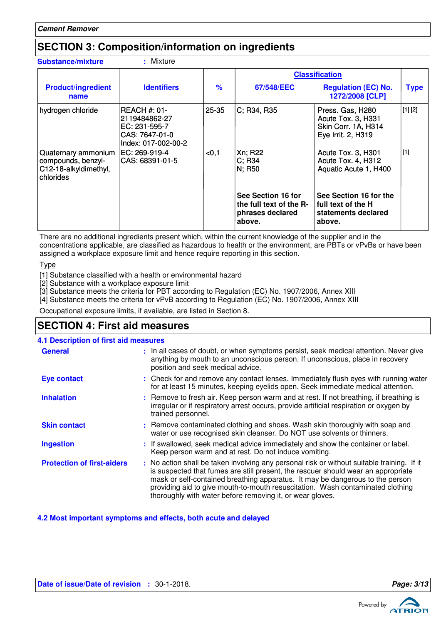### **SECTION 3: Composition/information on ingredients**

| <b>Substance/mixture</b>                                                        | : Mixture                                                                                      |               |                                                                             |                                                                                     |             |
|---------------------------------------------------------------------------------|------------------------------------------------------------------------------------------------|---------------|-----------------------------------------------------------------------------|-------------------------------------------------------------------------------------|-------------|
|                                                                                 |                                                                                                |               |                                                                             | <b>Classification</b>                                                               |             |
| <b>Product/ingredient</b><br>name                                               | <b>Identifiers</b>                                                                             | $\frac{9}{6}$ | 67/548/EEC                                                                  | <b>Regulation (EC) No.</b><br>1272/2008 [CLP]                                       | <b>Type</b> |
| hydrogen chloride                                                               | <b>REACH #: 01-</b><br>2119484862-27<br>EC: 231-595-7<br>CAS: 7647-01-0<br>Index: 017-002-00-2 | 25-35         | C; R34, R35                                                                 | Press. Gas, H280<br>Acute Tox. 3, H331<br>Skin Corr. 1A, H314<br>Eye Irrit. 2, H319 | [1] [2]     |
| Quaternary ammonium<br>compounds, benzyl-<br>C12-18-alkyldimethyl,<br>chlorides | EC: 269-919-4<br>ICAS: 68391-01-5                                                              | < 0, 1        | Xn; R22<br>$C$ ; R34<br>N; R50                                              | Acute Tox. 3, H301<br>Acute Tox. 4, H312<br>Aquatic Acute 1, H400                   | [1]         |
|                                                                                 |                                                                                                |               | See Section 16 for<br>the full text of the R-<br>phrases declared<br>above. | See Section 16 for the<br>full text of the H<br>statements declared<br>above.       |             |

There are no additional ingredients present which, within the current knowledge of the supplier and in the concentrations applicable, are classified as hazardous to health or the environment, are PBTs or vPvBs or have been assigned a workplace exposure limit and hence require reporting in this section.

Type

[1] Substance classified with a health or environmental hazard

[2] Substance with a workplace exposure limit

[3] Substance meets the criteria for PBT according to Regulation (EC) No. 1907/2006, Annex XIII

[4] Substance meets the criteria for vPvB according to Regulation (EC) No. 1907/2006, Annex XIII

Occupational exposure limits, if available, are listed in Section 8.

### **SECTION 4: First aid measures**

#### : If swallowed, seek medical advice immediately and show the container or label. Keep person warm and at rest. Do not induce vomiting. Check for and remove any contact lenses. Immediately flush eyes with running water **:** for at least 15 minutes, keeping eyelids open. Seek immediate medical attention. Remove contaminated clothing and shoes. Wash skin thoroughly with soap and **:** water or use recognised skin cleanser. Do NOT use solvents or thinners. Remove to fresh air. Keep person warm and at rest. If not breathing, if breathing is irregular or if respiratory arrest occurs, provide artificial respiration or oxygen by trained personnel. General **In all cases of doubt, or when symptoms persist, seek medical attention. Never give Seneral attention.** anything by mouth to an unconscious person. If unconscious, place in recovery position and seek medical advice. **Skin contact 4.1 Description of first aid measures Ingestion Inhalation Eye contact : Protection of first-aiders** : No action shall be taken involving any personal risk or without suitable training. If it is suspected that fumes are still present, the rescuer should wear an appropriate mask or self-contained breathing apparatus. It may be dangerous to the person providing aid to give mouth-to-mouth resuscitation. Wash contaminated clothing thoroughly with water before removing it, or wear gloves.

**4.2 Most important symptoms and effects, both acute and delayed**



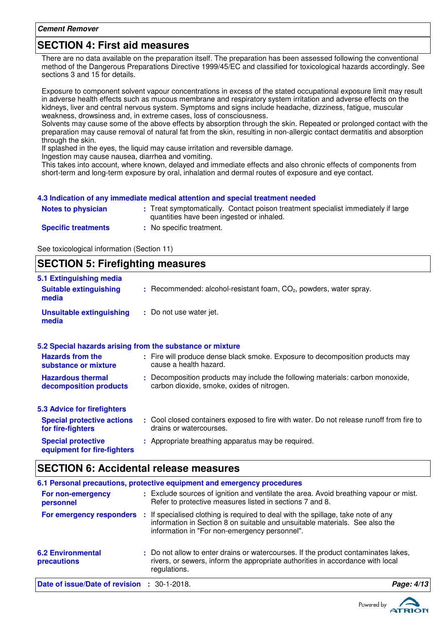### **SECTION 4: First aid measures**

There are no data available on the preparation itself. The preparation has been assessed following the conventional method of the Dangerous Preparations Directive 1999/45/EC and classified for toxicological hazards accordingly. See sections 3 and 15 for details.

Exposure to component solvent vapour concentrations in excess of the stated occupational exposure limit may result in adverse health effects such as mucous membrane and respiratory system irritation and adverse effects on the kidneys, liver and central nervous system. Symptoms and signs include headache, dizziness, fatigue, muscular weakness, drowsiness and, in extreme cases, loss of consciousness.

Solvents may cause some of the above effects by absorption through the skin. Repeated or prolonged contact with the preparation may cause removal of natural fat from the skin, resulting in non-allergic contact dermatitis and absorption through the skin.

If splashed in the eyes, the liquid may cause irritation and reversible damage.

Ingestion may cause nausea, diarrhea and vomiting.

This takes into account, where known, delayed and immediate effects and also chronic effects of components from short-term and long-term exposure by oral, inhalation and dermal routes of exposure and eye contact.

#### **4.3 Indication of any immediate medical attention and special treatment needed**

| <b>Notes to physician</b>  | : Treat symptomatically. Contact poison treatment specialist immediately if large<br>quantities have been ingested or inhaled. |
|----------------------------|--------------------------------------------------------------------------------------------------------------------------------|
| <b>Specific treatments</b> | : No specific treatment.                                                                                                       |

See toxicological information (Section 11)

### **SECTION 5: Firefighting measures**

| 5.1 Extinguishing media                                   |                                                                                                                              |
|-----------------------------------------------------------|------------------------------------------------------------------------------------------------------------------------------|
| <b>Suitable extinguishing</b><br>media                    | $:$ Recommended: alcohol-resistant foam, $CO2$ , powders, water spray.                                                       |
| <b>Unsuitable extinguishing</b><br>media                  | : Do not use water jet.                                                                                                      |
| 5.2 Special hazards arising from the substance or mixture |                                                                                                                              |
| <b>Hazards from the</b><br>substance or mixture           | : Fire will produce dense black smoke. Exposure to decomposition products may<br>cause a health hazard.                      |
| <b>Hazardous thermal</b><br>decomposition products        | : Decomposition products may include the following materials: carbon monoxide,<br>carbon dioxide, smoke, oxides of nitrogen. |
| 5.3 Advice for firefighters                               |                                                                                                                              |
| <b>Special protective actions</b><br>for fire-fighters    | : Cool closed containers exposed to fire with water. Do not release runoff from fire to<br>drains or watercourses.           |
| <b>Special protective</b><br>equipment for fire-fighters  | : Appropriate breathing apparatus may be required.                                                                           |
|                                                           |                                                                                                                              |

### **SECTION 6: Accidental release measures**

|                                                    | 6.1 Personal precautions, protective equipment and emergency procedures                                                                                                                                         |            |
|----------------------------------------------------|-----------------------------------------------------------------------------------------------------------------------------------------------------------------------------------------------------------------|------------|
| For non-emergency<br>personnel                     | : Exclude sources of ignition and ventilate the area. Avoid breathing vapour or mist.<br>Refer to protective measures listed in sections 7 and 8.                                                               |            |
| For emergency responders                           | If specialised clothing is required to deal with the spillage, take note of any<br>information in Section 8 on suitable and unsuitable materials. See also the<br>information in "For non-emergency personnel". |            |
| <b>6.2 Environmental</b><br>precautions            | : Do not allow to enter drains or watercourses. If the product contaminates lakes,<br>rivers, or sewers, inform the appropriate authorities in accordance with local<br>regulations.                            |            |
| <b>Date of issue/Date of revision : 30-1-2018.</b> |                                                                                                                                                                                                                 | Page: 4/13 |

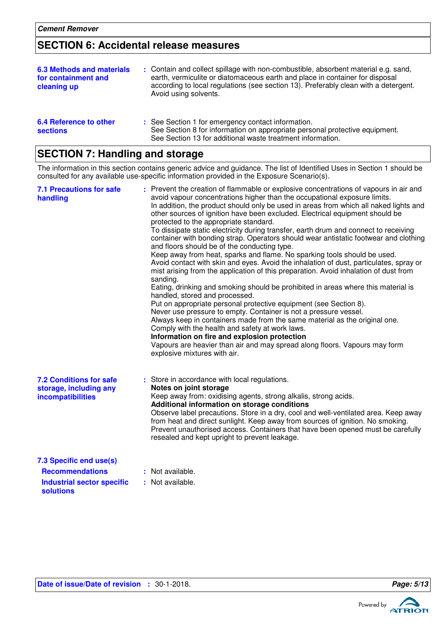**sections**

### **SECTION 6: Accidental release measures**

| 6.3 Methods and materials<br>for containment and<br>cleaning up | : Contain and collect spillage with non-combustible, absorbent material e.g. sand,<br>earth, vermiculite or diatomaceous earth and place in container for disposal<br>according to local regulations (see section 13). Preferably clean with a detergent.<br>Avoid using solvents. |
|-----------------------------------------------------------------|------------------------------------------------------------------------------------------------------------------------------------------------------------------------------------------------------------------------------------------------------------------------------------|
| 6.4 Reference to other                                          | : See Section 1 for emergency contact information.                                                                                                                                                                                                                                 |

| <b>SECTION 7: Handling and storage</b> |  |
|----------------------------------------|--|
|----------------------------------------|--|

The information in this section contains generic advice and guidance. The list of Identified Uses in Section 1 should be consulted for any available use-specific information provided in the Exposure Scenario(s).

See Section 13 for additional waste treatment information.

See Section 8 for information on appropriate personal protective equipment.

| <b>7.1 Precautions for safe</b><br>handling                                                                | Prevent the creation of flammable or explosive concentrations of vapours in air and<br>avoid vapour concentrations higher than the occupational exposure limits.<br>In addition, the product should only be used in areas from which all naked lights and<br>other sources of ignition have been excluded. Electrical equipment should be<br>protected to the appropriate standard.<br>To dissipate static electricity during transfer, earth drum and connect to receiving<br>container with bonding strap. Operators should wear antistatic footwear and clothing<br>and floors should be of the conducting type.<br>Keep away from heat, sparks and flame. No sparking tools should be used.<br>Avoid contact with skin and eyes. Avoid the inhalation of dust, particulates, spray or<br>mist arising from the application of this preparation. Avoid inhalation of dust from<br>sanding.<br>Eating, drinking and smoking should be prohibited in areas where this material is<br>handled, stored and processed.<br>Put on appropriate personal protective equipment (see Section 8).<br>Never use pressure to empty. Container is not a pressure vessel.<br>Always keep in containers made from the same material as the original one.<br>Comply with the health and safety at work laws.<br>Information on fire and explosion protection<br>Vapours are heavier than air and may spread along floors. Vapours may form<br>explosive mixtures with air. |
|------------------------------------------------------------------------------------------------------------|--------------------------------------------------------------------------------------------------------------------------------------------------------------------------------------------------------------------------------------------------------------------------------------------------------------------------------------------------------------------------------------------------------------------------------------------------------------------------------------------------------------------------------------------------------------------------------------------------------------------------------------------------------------------------------------------------------------------------------------------------------------------------------------------------------------------------------------------------------------------------------------------------------------------------------------------------------------------------------------------------------------------------------------------------------------------------------------------------------------------------------------------------------------------------------------------------------------------------------------------------------------------------------------------------------------------------------------------------------------------------------------------------------------------------------------------------------------|
| <b>7.2 Conditions for safe</b><br>storage, including any<br>incompatibilities                              | : Store in accordance with local regulations.<br>Notes on joint storage<br>Keep away from: oxidising agents, strong alkalis, strong acids.<br>Additional information on storage conditions<br>Observe label precautions. Store in a dry, cool and well-ventilated area. Keep away<br>from heat and direct sunlight. Keep away from sources of ignition. No smoking.<br>Prevent unauthorised access. Containers that have been opened must be carefully<br>resealed and kept upright to prevent leakage.                                                                                                                                                                                                                                                                                                                                                                                                                                                                                                                                                                                                                                                                                                                                                                                                                                                                                                                                                      |
| 7.3 Specific end use(s)<br><b>Recommendations</b><br><b>Industrial sector specific</b><br><b>solutions</b> | : Not available.<br>: Not available.                                                                                                                                                                                                                                                                                                                                                                                                                                                                                                                                                                                                                                                                                                                                                                                                                                                                                                                                                                                                                                                                                                                                                                                                                                                                                                                                                                                                                         |

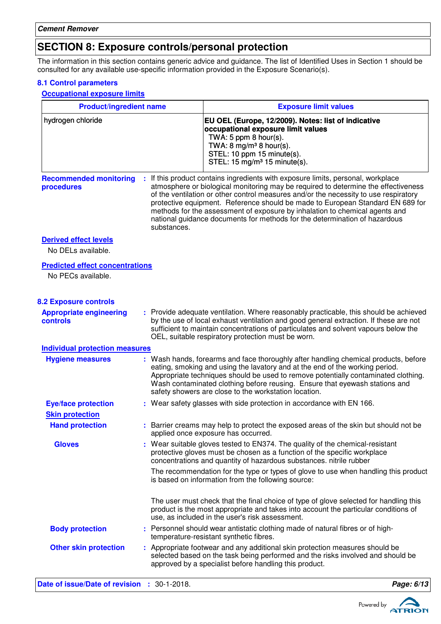### **SECTION 8: Exposure controls/personal protection**

The information in this section contains generic advice and guidance. The list of Identified Uses in Section 1 should be consulted for any available use-specific information provided in the Exposure Scenario(s).

#### **8.1 Control parameters**

**Occupational exposure limits**

| <b>Product/ingredient name</b>              |                | <b>Exposure limit values</b>                                                                                                                                                                                                                                                                                                                                                                                                                                                                                  |  |  |
|---------------------------------------------|----------------|---------------------------------------------------------------------------------------------------------------------------------------------------------------------------------------------------------------------------------------------------------------------------------------------------------------------------------------------------------------------------------------------------------------------------------------------------------------------------------------------------------------|--|--|
| hydrogen chloride                           |                | EU OEL (Europe, 12/2009). Notes: list of indicative<br>occupational exposure limit values<br>TWA: 5 ppm 8 hour(s).<br>TWA: 8 mg/m <sup>3</sup> 8 hour(s).<br>STEL: 10 ppm 15 minute(s).<br>STEL: 15 mg/m <sup>3</sup> 15 minute(s).                                                                                                                                                                                                                                                                           |  |  |
| <b>Recommended monitoring</b><br>procedures | substances.    | : If this product contains ingredients with exposure limits, personal, workplace<br>atmosphere or biological monitoring may be required to determine the effectiveness<br>of the ventilation or other control measures and/or the necessity to use respiratory<br>protective equipment. Reference should be made to European Standard EN 689 for<br>methods for the assessment of exposure by inhalation to chemical agents and<br>national guidance documents for methods for the determination of hazardous |  |  |
| <b>Derived effect levels</b>                |                |                                                                                                                                                                                                                                                                                                                                                                                                                                                                                                               |  |  |
| No DELs available.                          |                |                                                                                                                                                                                                                                                                                                                                                                                                                                                                                                               |  |  |
| <b>Predicted effect concentrations</b>      |                |                                                                                                                                                                                                                                                                                                                                                                                                                                                                                                               |  |  |
| No PECs available.                          |                |                                                                                                                                                                                                                                                                                                                                                                                                                                                                                                               |  |  |
| <b>8.2 Exposure controls</b>                |                |                                                                                                                                                                                                                                                                                                                                                                                                                                                                                                               |  |  |
| <b>Appropriate engineering</b><br>controls  |                | : Provide adequate ventilation. Where reasonably practicable, this should be achieved<br>by the use of local exhaust ventilation and good general extraction. If these are not<br>sufficient to maintain concentrations of particulates and solvent vapours below the<br>OEL, suitable respiratory protection must be worn.                                                                                                                                                                                   |  |  |
| <b>Individual protection measures</b>       |                |                                                                                                                                                                                                                                                                                                                                                                                                                                                                                                               |  |  |
| <b>Hygiene measures</b>                     |                | : Wash hands, forearms and face thoroughly after handling chemical products, before<br>eating, smoking and using the lavatory and at the end of the working period.<br>Appropriate techniques should be used to remove potentially contaminated clothing.<br>Wash contaminated clothing before reusing. Ensure that eyewash stations and<br>safety showers are close to the workstation location.                                                                                                             |  |  |
| <b>Eye/face protection</b>                  |                | : Wear safety glasses with side protection in accordance with EN 166.                                                                                                                                                                                                                                                                                                                                                                                                                                         |  |  |
| <b>Skin protection</b>                      |                |                                                                                                                                                                                                                                                                                                                                                                                                                                                                                                               |  |  |
| <b>Hand protection</b>                      |                | : Barrier creams may help to protect the exposed areas of the skin but should not be<br>applied once exposure has occurred.                                                                                                                                                                                                                                                                                                                                                                                   |  |  |
| <b>Gloves</b>                               |                | : Wear suitable gloves tested to EN374. The quality of the chemical-resistant<br>protective gloves must be chosen as a function of the specific workplace<br>concentrations and quantity of hazardous substances. nitrile rubber                                                                                                                                                                                                                                                                              |  |  |
|                                             |                | The recommendation for the type or types of glove to use when handling this product<br>is based on information from the following source:                                                                                                                                                                                                                                                                                                                                                                     |  |  |
|                                             |                | The user must check that the final choice of type of glove selected for handling this<br>product is the most appropriate and takes into account the particular conditions of<br>use, as included in the user's risk assessment.                                                                                                                                                                                                                                                                               |  |  |
| <b>Body protection</b>                      |                | : Personnel should wear antistatic clothing made of natural fibres or of high-<br>temperature-resistant synthetic fibres.                                                                                                                                                                                                                                                                                                                                                                                     |  |  |
| <b>Other skin protection</b>                |                | : Appropriate footwear and any additional skin protection measures should be<br>selected based on the task being performed and the risks involved and should be<br>approved by a specialist before handling this product.                                                                                                                                                                                                                                                                                     |  |  |
| Date of issue/Date of revision              | $: 30-1-2018.$ | Page: 6/13                                                                                                                                                                                                                                                                                                                                                                                                                                                                                                    |  |  |

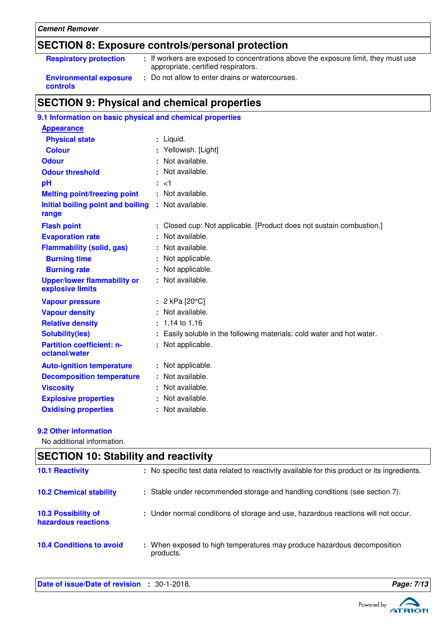### Powered by **ATRION**

#### **Cement Remover**

### **SECTION 8: Exposure controls/personal protection**

| <b>Respiratory protection</b>             | : If workers are exposed to concentrations above the exposure limit, they must use<br>appropriate, certified respirators. |
|-------------------------------------------|---------------------------------------------------------------------------------------------------------------------------|
| <b>Environmental exposure</b><br>controls | Do not allow to enter drains or watercourses.                                                                             |

### **SECTION 9: Physical and chemical properties**

| 9.1 Information on basic physical and chemical properties |                                                                        |
|-----------------------------------------------------------|------------------------------------------------------------------------|
| <b>Appearance</b>                                         |                                                                        |
| <b>Physical state</b>                                     | : Liquid.                                                              |
| <b>Colour</b>                                             | : Yellowish. [Light]                                                   |
| <b>Odour</b>                                              | : Not available.                                                       |
| <b>Odour threshold</b>                                    | Not available.                                                         |
| pH                                                        | $:$ $<$ 1                                                              |
| <b>Melting point/freezing point</b>                       | : Not available.                                                       |
| Initial boiling point and boiling<br>range                | : Not available.                                                       |
| <b>Flash point</b>                                        | : Closed cup: Not applicable. [Product does not sustain combustion.]   |
| <b>Evaporation rate</b>                                   | Not available.                                                         |
| <b>Flammability (solid, gas)</b>                          | Not available.                                                         |
| <b>Burning time</b>                                       | Not applicable.                                                        |
| <b>Burning rate</b>                                       | Not applicable.                                                        |
| <b>Upper/lower flammability or</b><br>explosive limits    | : Not available.                                                       |
| <b>Vapour pressure</b>                                    | : $2 kPa$ [20 $°C$ ]                                                   |
| <b>Vapour density</b>                                     | : Not available.                                                       |
| <b>Relative density</b>                                   | $: 1,14$ to 1,16                                                       |
| <b>Solubility(ies)</b>                                    | : Easily soluble in the following materials: cold water and hot water. |
| <b>Partition coefficient: n-</b><br>octanol/water         | Not applicable.<br>÷.                                                  |
| <b>Auto-ignition temperature</b>                          | : Not applicable.                                                      |
| <b>Decomposition temperature</b>                          | : Not available.                                                       |
| <b>Viscosity</b>                                          | Not available.                                                         |
| <b>Explosive properties</b>                               | Not available.                                                         |
| <b>Oxidising properties</b>                               | Not available.                                                         |

#### **9.2 Other information**

 $\mathbf{I}$ 

No additional information.

| <b>SECTION 10: Stability and reactivity</b>       |                                                                                              |
|---------------------------------------------------|----------------------------------------------------------------------------------------------|
| <b>10.1 Reactivity</b>                            | : No specific test data related to reactivity available for this product or its ingredients. |
| <b>10.2 Chemical stability</b>                    | : Stable under recommended storage and handling conditions (see section 7).                  |
| <b>10.3 Possibility of</b><br>hazardous reactions | : Under normal conditions of storage and use, hazardous reactions will not occur.            |
| <b>10.4 Conditions to avoid</b>                   | : When exposed to high temperatures may produce hazardous decomposition<br>products.         |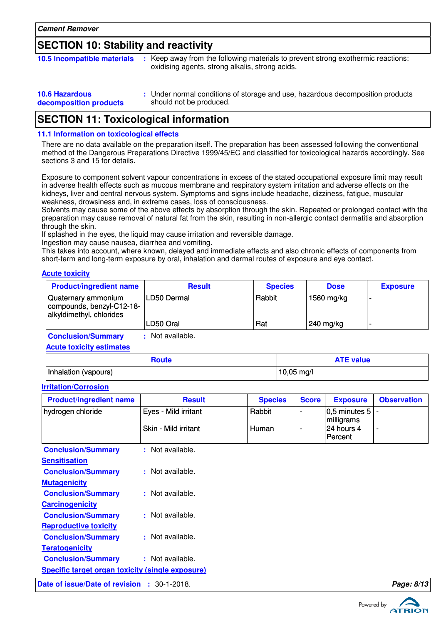### **SECTION 10: Stability and reactivity**

| <b>10.5 Incompatible materials</b> | : Keep away from the following materials to prevent strong exothermic reactions:<br>oxidising agents, strong alkalis, strong acids. |
|------------------------------------|-------------------------------------------------------------------------------------------------------------------------------------|
|                                    |                                                                                                                                     |

| <b>10.6 Hazardous</b>  | : Under normal conditions of storage and use, hazardous decomposition products |
|------------------------|--------------------------------------------------------------------------------|
| decomposition products | should not be produced.                                                        |

### **SECTION 11: Toxicological information**

#### **11.1 Information on toxicological effects**

There are no data available on the preparation itself. The preparation has been assessed following the conventional method of the Dangerous Preparations Directive 1999/45/EC and classified for toxicological hazards accordingly. See sections 3 and 15 for details.

Exposure to component solvent vapour concentrations in excess of the stated occupational exposure limit may result in adverse health effects such as mucous membrane and respiratory system irritation and adverse effects on the kidneys, liver and central nervous system. Symptoms and signs include headache, dizziness, fatigue, muscular weakness, drowsiness and, in extreme cases, loss of consciousness.

Solvents may cause some of the above effects by absorption through the skin. Repeated or prolonged contact with the preparation may cause removal of natural fat from the skin, resulting in non-allergic contact dermatitis and absorption through the skin.

If splashed in the eyes, the liquid may cause irritation and reversible damage.

Ingestion may cause nausea, diarrhea and vomiting.

This takes into account, where known, delayed and immediate effects and also chronic effects of components from short-term and long-term exposure by oral, inhalation and dermal routes of exposure and eye contact.

#### **Acute toxicity**

| <b>Product/ingredient name</b>                                               | <b>Result</b> | <b>Species</b> | <b>Dose</b> | <b>Exposure</b> |
|------------------------------------------------------------------------------|---------------|----------------|-------------|-----------------|
| Quaternary ammonium<br>compounds, benzyl-C12-18-<br>alkyldimethyl, chlorides | ILD50 Dermal  | Rabbit         | 1560 mg/kg  |                 |
|                                                                              | LD50 Oral     | Rat            | 240 mg/kg   |                 |

**Conclusion/Summary :** Not available.

#### **Acute toxicity estimates**

| <b>Route</b>         | <b>ATE value</b>     |
|----------------------|----------------------|
| Inhalation (vapours) | $10,05 \text{ mg/l}$ |

#### **Irritation/Corrosion**

| <b>Product/ingredient name</b>                          | <b>Result</b>        | <b>Species</b> | <b>Score</b>   | <b>Exposure</b>                     | <b>Observation</b> |
|---------------------------------------------------------|----------------------|----------------|----------------|-------------------------------------|--------------------|
| hydrogen chloride                                       | Eyes - Mild irritant | Rabbit         | $\blacksquare$ | 0,5 minutes 5                       |                    |
|                                                         | Skin - Mild irritant | <b>Human</b>   | ٠              | milligrams<br>24 hours 4<br>Percent | $\blacksquare$     |
| <b>Conclusion/Summary</b>                               | : Not available.     |                |                |                                     |                    |
| <b>Sensitisation</b>                                    |                      |                |                |                                     |                    |
| <b>Conclusion/Summary</b>                               | : Not available.     |                |                |                                     |                    |
| <b>Mutagenicity</b>                                     |                      |                |                |                                     |                    |
| <b>Conclusion/Summary</b>                               | : Not available.     |                |                |                                     |                    |
| Carcinogenicity                                         |                      |                |                |                                     |                    |
| <b>Conclusion/Summary</b>                               | : Not available.     |                |                |                                     |                    |
| <b>Reproductive toxicity</b>                            |                      |                |                |                                     |                    |
| <b>Conclusion/Summary</b>                               | : Not available.     |                |                |                                     |                    |
| <b>Teratogenicity</b>                                   |                      |                |                |                                     |                    |
| <b>Conclusion/Summary</b>                               | : Not available.     |                |                |                                     |                    |
| <b>Specific target organ toxicity (single exposure)</b> |                      |                |                |                                     |                    |
| Date of issue/Date of revision : 30-1-2018.             |                      |                |                |                                     | Page: 8/13         |

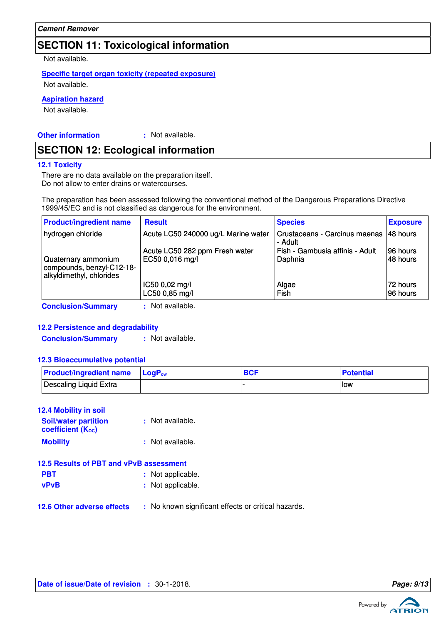### **SECTION 11: Toxicological information**

Not available.

### **Specific target organ toxicity (repeated exposure)**

Not available.

#### **Aspiration hazard**

Not available.

**Other information :**

: Not available.

### **SECTION 12: Ecological information**

#### **12.1 Toxicity**

There are no data available on the preparation itself. Do not allow to enter drains or watercourses.

The preparation has been assessed following the conventional method of the Dangerous Preparations Directive 1999/45/EC and is not classified as dangerous for the environment.

| <b>Product/ingredient name</b>                                               | <b>Result</b>                       | <b>Species</b>                           | <b>Exposure</b> |
|------------------------------------------------------------------------------|-------------------------------------|------------------------------------------|-----------------|
| hydrogen chloride                                                            | Acute LC50 240000 ug/L Marine water | Crustaceans - Carcinus maenas<br>- Adult | 48 hours        |
|                                                                              | Acute LC50 282 ppm Fresh water      | Fish - Gambusia affinis - Adult          | 96 hours        |
| Quaternary ammonium<br>compounds, benzyl-C12-18-<br>alkyldimethyl, chlorides | EC50 0,016 mg/l                     | Daphnia                                  | 48 hours        |
|                                                                              | IC50 0,02 mg/l                      | Algae                                    | 72 hours        |
|                                                                              | LC50 0,85 mg/l                      | Fish                                     | 196 hours       |
| <b>Conclusion/Summary</b>                                                    | Not available.                      |                                          |                 |

#### **12.2 Persistence and degradability**

**Conclusion/Summary :** Not available.

### **12.3 Bioaccumulative potential**

| <b>Product/ingredient name</b> $\log P_{ow}$ | <b>BCF</b> | <b>Potential</b> |
|----------------------------------------------|------------|------------------|
| Descaling Liquid Extra                       |            | <b>How</b>       |

#### **12.4 Mobility in soil**

| <b>Soil/water partition</b><br><b>coefficient (Koc)</b> | : Not available. |
|---------------------------------------------------------|------------------|
| <b>Mobility</b>                                         | : Not available. |

| 12.5 Results of PBT and vPvB assessment |                   |  |  |
|-----------------------------------------|-------------------|--|--|
| <b>PBT</b>                              | : Not applicable. |  |  |
| <b>vPvB</b>                             | : Not applicable. |  |  |
|                                         |                   |  |  |

**12.6 Other adverse effects** : No known significant effects or critical hazards.

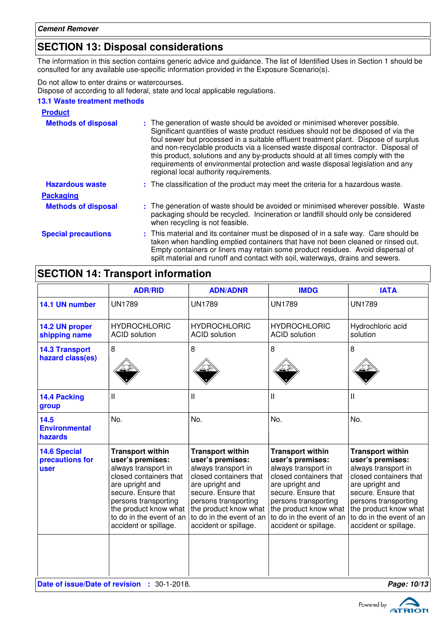### **SECTION 13: Disposal considerations**

The information in this section contains generic advice and guidance. The list of Identified Uses in Section 1 should be consulted for any available use-specific information provided in the Exposure Scenario(s).

Do not allow to enter drains or watercourses.

Dispose of according to all federal, state and local applicable regulations.

### **13.1 Waste treatment methods**

| <b>Product</b>             |                                                                                                                                                                                                                                                                                                                                                                                                                                                                                                                                                               |
|----------------------------|---------------------------------------------------------------------------------------------------------------------------------------------------------------------------------------------------------------------------------------------------------------------------------------------------------------------------------------------------------------------------------------------------------------------------------------------------------------------------------------------------------------------------------------------------------------|
| <b>Methods of disposal</b> | : The generation of waste should be avoided or minimised wherever possible.<br>Significant quantities of waste product residues should not be disposed of via the<br>foul sewer but processed in a suitable effluent treatment plant. Dispose of surplus<br>and non-recyclable products via a licensed waste disposal contractor. Disposal of<br>this product, solutions and any by-products should at all times comply with the<br>requirements of environmental protection and waste disposal legislation and any<br>regional local authority requirements. |
| <b>Hazardous waste</b>     | : The classification of the product may meet the criteria for a hazardous waste.                                                                                                                                                                                                                                                                                                                                                                                                                                                                              |
| <b>Packaging</b>           |                                                                                                                                                                                                                                                                                                                                                                                                                                                                                                                                                               |
| <b>Methods of disposal</b> | : The generation of waste should be avoided or minimised wherever possible. Waste<br>packaging should be recycled. Incineration or landfill should only be considered<br>when recycling is not feasible.                                                                                                                                                                                                                                                                                                                                                      |
| <b>Special precautions</b> | : This material and its container must be disposed of in a safe way. Care should be<br>taken when handling emptied containers that have not been cleaned or rinsed out.<br>Empty containers or liners may retain some product residues. Avoid dispersal of<br>spilt material and runoff and contact with soil, waterways, drains and sewers.                                                                                                                                                                                                                  |

### **SECTION 14: Transport information**

|                                                | <b>ADR/RID</b>                                                                                                                                                                                                                               | <b>ADN/ADNR</b>                                                                                                                                                                                                                              | <b>IMDG</b>                                                                                                                                                                                                                                  | <b>IATA</b>                                                                                                                                                                                                                                  |
|------------------------------------------------|----------------------------------------------------------------------------------------------------------------------------------------------------------------------------------------------------------------------------------------------|----------------------------------------------------------------------------------------------------------------------------------------------------------------------------------------------------------------------------------------------|----------------------------------------------------------------------------------------------------------------------------------------------------------------------------------------------------------------------------------------------|----------------------------------------------------------------------------------------------------------------------------------------------------------------------------------------------------------------------------------------------|
| 14.1 UN number                                 | <b>UN1789</b>                                                                                                                                                                                                                                | <b>UN1789</b>                                                                                                                                                                                                                                | <b>UN1789</b>                                                                                                                                                                                                                                | <b>UN1789</b>                                                                                                                                                                                                                                |
| 14.2 UN proper<br>shipping name                | <b>HYDROCHLORIC</b><br><b>ACID</b> solution                                                                                                                                                                                                  | <b>HYDROCHLORIC</b><br><b>ACID</b> solution                                                                                                                                                                                                  | <b>HYDROCHLORIC</b><br><b>ACID</b> solution                                                                                                                                                                                                  | Hydrochloric acid<br>solution                                                                                                                                                                                                                |
| <b>14.3 Transport</b><br>hazard class(es)      | 8                                                                                                                                                                                                                                            | 8                                                                                                                                                                                                                                            | 8                                                                                                                                                                                                                                            | 8                                                                                                                                                                                                                                            |
| 14.4 Packing<br>group                          | $\mathbf{I}$                                                                                                                                                                                                                                 | Ш                                                                                                                                                                                                                                            | Ш                                                                                                                                                                                                                                            | Ш                                                                                                                                                                                                                                            |
| 14.5<br><b>Environmental</b><br>hazards        | No.                                                                                                                                                                                                                                          | No.                                                                                                                                                                                                                                          | No.                                                                                                                                                                                                                                          | No.                                                                                                                                                                                                                                          |
| <b>14.6 Special</b><br>precautions for<br>user | <b>Transport within</b><br>user's premises:<br>always transport in<br>closed containers that<br>are upright and<br>secure. Ensure that<br>persons transporting<br>the product know what<br>to do in the event of an<br>accident or spillage. | <b>Transport within</b><br>user's premises:<br>always transport in<br>closed containers that<br>are upright and<br>secure. Ensure that<br>persons transporting<br>the product know what<br>to do in the event of an<br>accident or spillage. | <b>Transport within</b><br>user's premises:<br>always transport in<br>closed containers that<br>are upright and<br>secure. Ensure that<br>persons transporting<br>the product know what<br>to do in the event of an<br>accident or spillage. | <b>Transport within</b><br>user's premises:<br>always transport in<br>closed containers that<br>are upright and<br>secure. Ensure that<br>persons transporting<br>the product know what<br>to do in the event of an<br>accident or spillage. |
|                                                | Date of issue/Date of revision : 30-1-2018.<br>Page: 10/13                                                                                                                                                                                   |                                                                                                                                                                                                                                              |                                                                                                                                                                                                                                              |                                                                                                                                                                                                                                              |

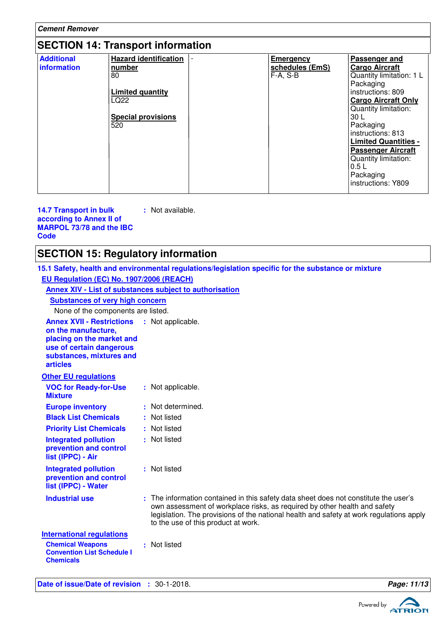| <b>Cement Remover</b>                    |                                                                                                                     |  |                                                   |                                                                                                                                                                                                                                                                                                                                     |
|------------------------------------------|---------------------------------------------------------------------------------------------------------------------|--|---------------------------------------------------|-------------------------------------------------------------------------------------------------------------------------------------------------------------------------------------------------------------------------------------------------------------------------------------------------------------------------------------|
| <b>SECTION 14: Transport information</b> |                                                                                                                     |  |                                                   |                                                                                                                                                                                                                                                                                                                                     |
| <b>Additional</b><br>information         | <b>Hazard identification</b><br>number<br>80<br><b>Limited quantity</b><br>LQ22<br><b>Special provisions</b><br>520 |  | <b>Emergency</b><br>schedules (EmS)<br>$F-A, S-B$ | Passenger and<br><b>Cargo Aircraft</b><br>Quantity limitation: 1 L<br>Packaging<br>instructions: 809<br><b>Cargo Aircraft Only</b><br>Quantity limitation:<br>30 L<br>Packaging<br>instructions: 813<br><b>Limited Quantities -</b><br><b>Passenger Aircraft</b><br>Quantity limitation:<br>0.5L<br>Packaging<br>instructions: Y809 |

**14.7 Transport in bulk according to Annex II of MARPOL 73/78 and the IBC Code :** Not available.

### **SECTION 15: Regulatory information**

|                                                                                                                                                                                   | 15.1 Safety, health and environmental regulations/legislation specific for the substance or mixture                                                                                                                                                                                                 |
|-----------------------------------------------------------------------------------------------------------------------------------------------------------------------------------|-----------------------------------------------------------------------------------------------------------------------------------------------------------------------------------------------------------------------------------------------------------------------------------------------------|
| EU Regulation (EC) No. 1907/2006 (REACH)                                                                                                                                          |                                                                                                                                                                                                                                                                                                     |
|                                                                                                                                                                                   | Annex XIV - List of substances subject to authorisation                                                                                                                                                                                                                                             |
| <b>Substances of very high concern</b>                                                                                                                                            |                                                                                                                                                                                                                                                                                                     |
| None of the components are listed.                                                                                                                                                |                                                                                                                                                                                                                                                                                                     |
| <b>Annex XVII - Restrictions : Not applicable.</b><br>on the manufacture,<br>placing on the market and<br>use of certain dangerous<br>substances, mixtures and<br><b>articles</b> |                                                                                                                                                                                                                                                                                                     |
| <b>Other EU regulations</b>                                                                                                                                                       |                                                                                                                                                                                                                                                                                                     |
| <b>VOC for Ready-for-Use</b><br><b>Mixture</b>                                                                                                                                    | : Not applicable.                                                                                                                                                                                                                                                                                   |
| <b>Europe inventory</b>                                                                                                                                                           | : Not determined.                                                                                                                                                                                                                                                                                   |
| <b>Black List Chemicals</b>                                                                                                                                                       | : Not listed                                                                                                                                                                                                                                                                                        |
| <b>Priority List Chemicals</b>                                                                                                                                                    | : Not listed                                                                                                                                                                                                                                                                                        |
| <b>Integrated pollution</b><br>prevention and control<br>list (IPPC) - Air                                                                                                        | : Not listed                                                                                                                                                                                                                                                                                        |
| <b>Integrated pollution</b><br>prevention and control<br>list (IPPC) - Water                                                                                                      | : Not listed                                                                                                                                                                                                                                                                                        |
| <b>Industrial use</b>                                                                                                                                                             | : The information contained in this safety data sheet does not constitute the user's<br>own assessment of workplace risks, as required by other health and safety<br>legislation. The provisions of the national health and safety at work regulations apply<br>to the use of this product at work. |
| <b>International regulations</b>                                                                                                                                                  |                                                                                                                                                                                                                                                                                                     |
| <b>Chemical Weapons</b><br><b>Convention List Schedule I</b><br><b>Chemicals</b>                                                                                                  | : Not listed                                                                                                                                                                                                                                                                                        |
|                                                                                                                                                                                   |                                                                                                                                                                                                                                                                                                     |

Date of issue/Date of revision : 30-1-2018. **Page: 11/13** 

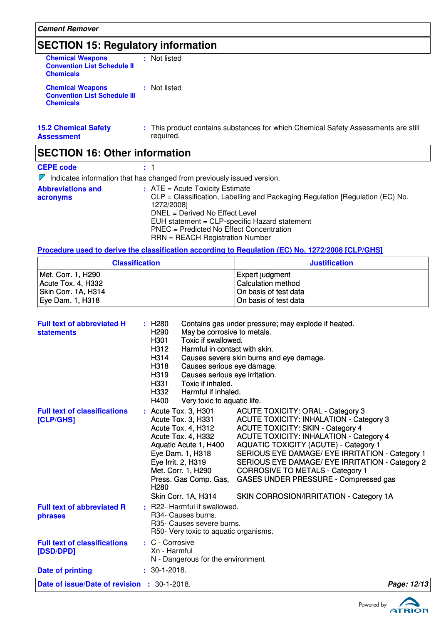# **SECTION 15: Regulatory information**

| <b>Chemical Weapons</b><br><b>Convention List Schedule II</b><br><b>Chemicals</b>  | : Not listed                                                                                    |
|------------------------------------------------------------------------------------|-------------------------------------------------------------------------------------------------|
| <b>Chemical Weapons</b><br><b>Convention List Schedule III</b><br><b>Chemicals</b> | : Not listed                                                                                    |
| <b>15.2 Chemical Safety</b><br><b>Assessment</b>                                   | : This product contains substances for which Chemical Safety Assessments are still<br>reguired. |
| <b>SECTION 16: Other information</b>                                               |                                                                                                 |
| <b>CEPE code</b>                                                                   |                                                                                                 |

| $\nabla$ Indicates information that has changed from previously issued version.                                                                                                                                                                                                                    |
|----------------------------------------------------------------------------------------------------------------------------------------------------------------------------------------------------------------------------------------------------------------------------------------------------|
| $:$ ATE = Acute Toxicity Estimate<br>CLP = Classification, Labelling and Packaging Regulation [Regulation (EC) No.<br>1272/2008]<br>DNEL = Derived No Effect Level<br>EUH statement = CLP-specific Hazard statement<br>PNEC = Predicted No Effect Concentration<br>RRN = REACH Registration Number |
|                                                                                                                                                                                                                                                                                                    |

**Procedure used to derive the classification according to Regulation (EC) No. 1272/2008 [CLP/GHS]**

| <b>Classification</b> | <b>Justification</b>      |
|-----------------------|---------------------------|
| Met. Corr. 1, H290    | Expert judgment           |
| Acute Tox. 4, H332    | <b>Calculation method</b> |
| Skin Corr. 1A, H314   | On basis of test data     |
| Eye Dam. 1, H318      | On basis of test data     |

| Causes severe skin burns and eye damage.<br>H318<br>Causes serious eye damage.<br>H319<br>Causes serious eye irritation.<br>Toxic if inhaled.<br>H331<br>H332<br>Harmful if inhaled.<br>H400<br>Very toxic to aquatic life.<br>: Acute Tox. 3, H301<br><b>ACUTE TOXICITY: ORAL - Category 3</b><br><b>Full text of classifications</b><br><b>ACUTE TOXICITY: INHALATION - Category 3</b><br>Acute Tox. 3, H331<br>[CLP/GHS]<br>Acute Tox. 4, H312<br><b>ACUTE TOXICITY: SKIN - Category 4</b><br>Acute Tox. 4, H332<br><b>ACUTE TOXICITY: INHALATION - Category 4</b><br><b>AQUATIC TOXICITY (ACUTE) - Category 1</b><br>Aquatic Acute 1, H400<br>SERIOUS EYE DAMAGE/ EYE IRRITATION - Category 1<br>Eye Dam. 1, H318<br>Eye Irrit. 2, H319<br>SERIOUS EYE DAMAGE/ EYE IRRITATION - Category 2<br>Met. Corr. 1, H290<br><b>CORROSIVE TO METALS - Category 1</b><br>GASES UNDER PRESSURE - Compressed gas<br>Press. Gas Comp. Gas,<br>H <sub>280</sub><br>Skin Corr. 1A, H314<br>SKIN CORROSION/IRRITATION - Category 1A<br>: R22- Harmful if swallowed.<br><b>Full text of abbreviated R</b><br>R <sub>34</sub> - Causes burns.<br>phrases<br>R35- Causes severe burns.<br>R50- Very toxic to aquatic organisms.<br><b>Full text of classifications</b><br>: C - Corrosive<br>Xn - Harmful<br>[DSD/DPD]<br>N - Dangerous for the environment<br>$: 30-1-2018.$<br><b>Date of printing</b><br><b>Date of issue/Date of revision : 30-1-2018.</b> | <b>Full text of abbreviated H</b><br><b>statements</b> | : H280<br>May be corrosive to metals.<br>H <sub>290</sub><br>Toxic if swallowed.<br>H301<br>Harmful in contact with skin.<br>H312 | Contains gas under pressure; may explode if heated. |  |
|-------------------------------------------------------------------------------------------------------------------------------------------------------------------------------------------------------------------------------------------------------------------------------------------------------------------------------------------------------------------------------------------------------------------------------------------------------------------------------------------------------------------------------------------------------------------------------------------------------------------------------------------------------------------------------------------------------------------------------------------------------------------------------------------------------------------------------------------------------------------------------------------------------------------------------------------------------------------------------------------------------------------------------------------------------------------------------------------------------------------------------------------------------------------------------------------------------------------------------------------------------------------------------------------------------------------------------------------------------------------------------------------------------------------------------------------------|--------------------------------------------------------|-----------------------------------------------------------------------------------------------------------------------------------|-----------------------------------------------------|--|
|                                                                                                                                                                                                                                                                                                                                                                                                                                                                                                                                                                                                                                                                                                                                                                                                                                                                                                                                                                                                                                                                                                                                                                                                                                                                                                                                                                                                                                                 |                                                        | H314                                                                                                                              |                                                     |  |
|                                                                                                                                                                                                                                                                                                                                                                                                                                                                                                                                                                                                                                                                                                                                                                                                                                                                                                                                                                                                                                                                                                                                                                                                                                                                                                                                                                                                                                                 |                                                        |                                                                                                                                   |                                                     |  |
|                                                                                                                                                                                                                                                                                                                                                                                                                                                                                                                                                                                                                                                                                                                                                                                                                                                                                                                                                                                                                                                                                                                                                                                                                                                                                                                                                                                                                                                 |                                                        |                                                                                                                                   |                                                     |  |
|                                                                                                                                                                                                                                                                                                                                                                                                                                                                                                                                                                                                                                                                                                                                                                                                                                                                                                                                                                                                                                                                                                                                                                                                                                                                                                                                                                                                                                                 |                                                        |                                                                                                                                   |                                                     |  |
|                                                                                                                                                                                                                                                                                                                                                                                                                                                                                                                                                                                                                                                                                                                                                                                                                                                                                                                                                                                                                                                                                                                                                                                                                                                                                                                                                                                                                                                 |                                                        |                                                                                                                                   |                                                     |  |
|                                                                                                                                                                                                                                                                                                                                                                                                                                                                                                                                                                                                                                                                                                                                                                                                                                                                                                                                                                                                                                                                                                                                                                                                                                                                                                                                                                                                                                                 |                                                        |                                                                                                                                   | Page: 12/13                                         |  |